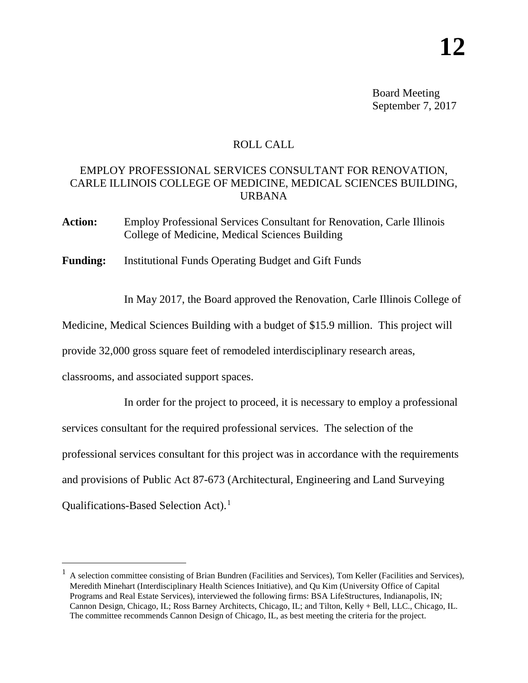Board Meeting September 7, 2017

## ROLL CALL

## EMPLOY PROFESSIONAL SERVICES CONSULTANT FOR RENOVATION, CARLE ILLINOIS COLLEGE OF MEDICINE, MEDICAL SCIENCES BUILDING, URBANA

**Action:** Employ Professional Services Consultant for Renovation, Carle Illinois College of Medicine, Medical Sciences Building

**Funding:** Institutional Funds Operating Budget and Gift Funds

In May 2017, the Board approved the Renovation, Carle Illinois College of

Medicine, Medical Sciences Building with a budget of \$15.9 million. This project will

provide 32,000 gross square feet of remodeled interdisciplinary research areas,

classrooms, and associated support spaces.

In order for the project to proceed, it is necessary to employ a professional services consultant for the required professional services. The selection of the professional services consultant for this project was in accordance with the requirements and provisions of Public Act 87-673 (Architectural, Engineering and Land Surveying Qualifications-Based Selection Act).[1](#page-0-0)

<span id="page-0-0"></span> $1$  A selection committee consisting of Brian Bundren (Facilities and Services), Tom Keller (Facilities and Services), Meredith Minehart (Interdisciplinary Health Sciences Initiative), and Qu Kim (University Office of Capital Programs and Real Estate Services), interviewed the following firms: BSA LifeStructures, Indianapolis, IN; Cannon Design, Chicago, IL; Ross Barney Architects, Chicago, IL; and Tilton, Kelly + Bell, LLC., Chicago, IL. The committee recommends Cannon Design of Chicago, IL, as best meeting the criteria for the project.